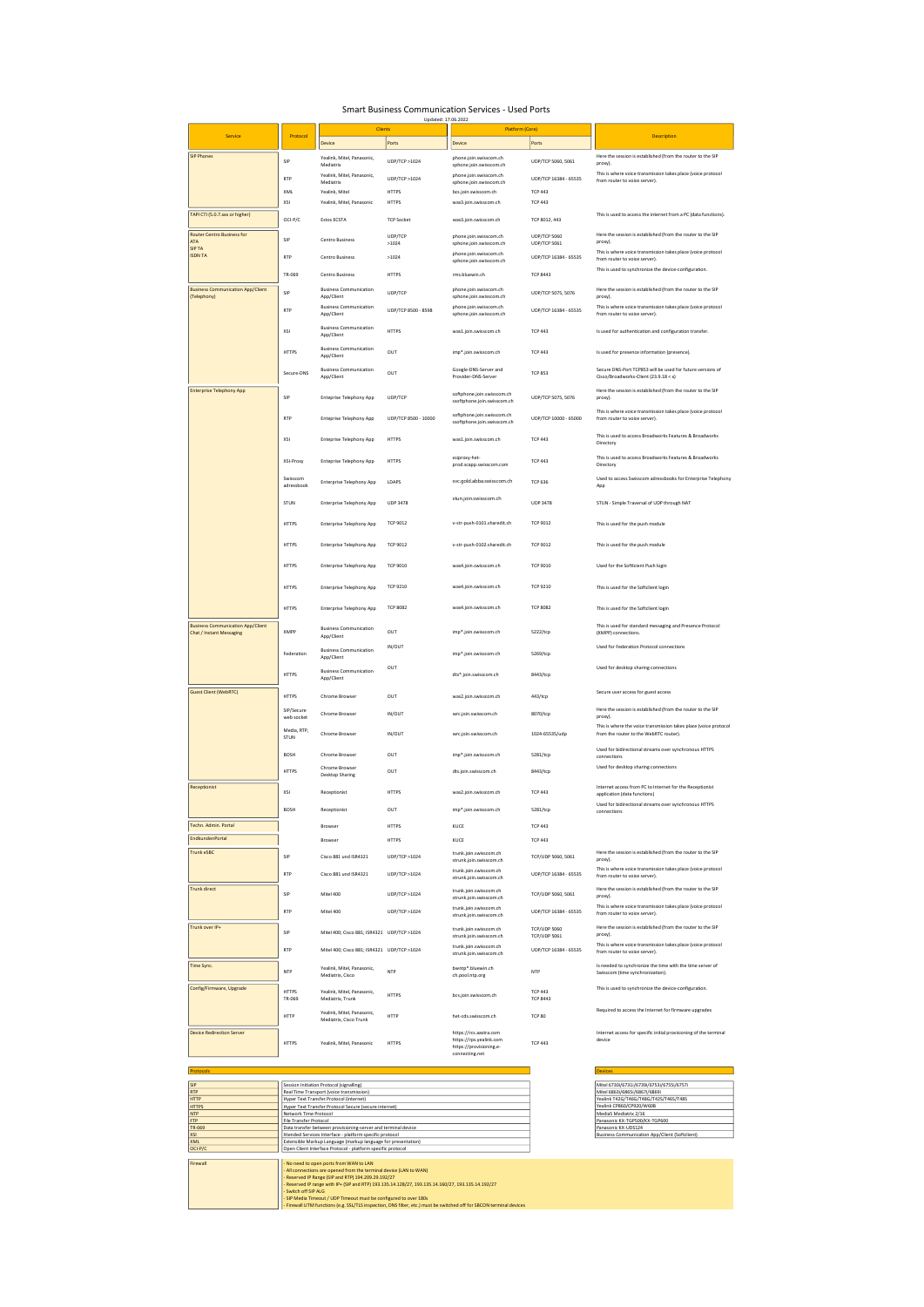## Smart Business Communication Services - Used Ports

|                                                                             |                         | Clients                                                                   | Updated: 17.06.2022              | Platform (Core)                                                                                |                                             |                                                                                                            |
|-----------------------------------------------------------------------------|-------------------------|---------------------------------------------------------------------------|----------------------------------|------------------------------------------------------------------------------------------------|---------------------------------------------|------------------------------------------------------------------------------------------------------------|
| Service                                                                     | Protocol                | Device                                                                    | Ports                            | Device                                                                                         | Ports                                       | Description                                                                                                |
| <b>SIP Phones</b>                                                           |                         | Yealink, Mitel, Panasonic,                                                |                                  | phone.join.swisscom.ch                                                                         |                                             | Here the session is established (from the router to the SIP                                                |
|                                                                             | SIP                     | Mediatrix                                                                 | UDP/TCP > 1024                   | sphone.join.swisscom.ch<br>phone.join.swisscom.ch                                              | UDP/TCP 5060, 5061                          | proxy).<br>This is where voice transmission takes place (voice protocol                                    |
|                                                                             | RTF                     | Yealink, Mitel, Panasonic,<br>Mediatrix                                   | UDP/TCP > 1024                   | sphone.join.swisscom.ch                                                                        | UDP/TCP 16384 - 65535                       | from router to voice server).                                                                              |
|                                                                             | XML<br>XSI              | Yealink, Mitel<br>Yealink, Mitel, Panasonic                               | <b>HTTPS</b><br><b>HTTPS</b>     | bcs.join.swisscom.ch                                                                           | <b>TCP 443</b><br><b>TCP 443</b>            |                                                                                                            |
| TAPI CTI (5.0.7.xxx or higher)                                              | OCI-P/C                 | Estos ECSTA                                                               | <b>TCP Socket</b>                | was3.join.swisscom.ch<br>was3.join.swisscom.ch                                                 | TCP 8012, 443                               | This is used to access the internet from a PC (data functions).                                            |
| <b>Router Centro Business for</b>                                           |                         |                                                                           | UDP/TCP                          | phone.join.swisscom.ch                                                                         | <b>UDP/TCP 5060</b>                         | Here the session is established (from the router to the SIP                                                |
| <b>ATA</b><br><b>SIPTA</b>                                                  | SIP                     | Centro Business                                                           | >1024                            | sphone.join.swisscom.ch                                                                        | UDP/TCP 5061                                | proxy).<br>This is where voice transmission takes place (voice protocol                                    |
| <b>ISDN TA</b>                                                              | RTF                     | Centro Business                                                           | >1024                            | phone.join.swisscom.ch<br>sphone.join.swisscom.ch                                              | UDP/TCP 16384 - 65535                       | from router to voice server).                                                                              |
|                                                                             | TR-069                  | Centro Business                                                           | <b>HTTPS</b>                     | rms bluewin ch                                                                                 | <b>TCP 8443</b>                             | This is used to synchronize the device-configuration.                                                      |
| <b>Business Communication App/Client</b>                                    | SIP                     | <b>Business Communication</b>                                             | UDP/TCP                          | phone.join.swisscom.ch                                                                         | UDP/TCP 5075, 5076                          | Here the session is established (from the router to the SIP                                                |
| (Telephony)                                                                 | RTF                     | App/Client<br><b>Business Communication</b><br>App/Client                 | UDP/TCP 8500 - 8598              | sphone.join.swisscom.ch<br>phone.join.swisscom.ch<br>sphone.join.swisscom.ch                   | UDP/TCP 16384 - 65535                       | proxy).<br>This is where voice transmission takes place (voice protocol<br>from router to voice server).   |
|                                                                             | XSI                     | <b>Business Communication</b><br>App/Client                               | <b>HTTPS</b>                     | was1.join.swisscom.ch                                                                          | <b>TCP 443</b>                              | Is used for authentication and configuration transfer.                                                     |
|                                                                             | <b>HTTPS</b>            | <b>Business Communication</b><br>App/Client                               | OUT                              | imp*.join.swisscom.ch                                                                          | <b>TCP 443</b>                              | Is used for presence information (presence).                                                               |
|                                                                             | Secure-DNS              | <b>Business Communication</b><br>App/Client                               | OUT                              | Google-DNS-Server and<br>Provider-DNS-Server                                                   | <b>TCP 853</b>                              | Secure DNS-Port TCP853 will be used for future versions of<br>Cisco/Broadworks-Client (23.9.18 < x)        |
| Enterprise Telephony App                                                    | SIP                     |                                                                           | UDP/TCP                          | softphone.join.swisscom.ch                                                                     | UDP/TCP 5075, 5076                          | Here the session is established (from the router to the SIP                                                |
|                                                                             |                         | <b>Enteprise Telephony App</b>                                            |                                  | ssoftphone.join.swisscom.ch<br>softphone.join.swisscom.ch                                      | UDP/TCP 10000 - 65000                       | proxy).<br>This is where voice transmission takes place (voice protocol                                    |
|                                                                             | <b>RTP</b>              | <b>Enteprise Telephony App</b>                                            | UDP/TCP 8500 - 10000             | ssoftphone.join.swisscom.ch                                                                    |                                             | from router to voice server).<br>This is used to access Broadworks Features & Broadworks                   |
|                                                                             | XSI                     | <b>Enteprise Telephony App</b>                                            | <b>HTTPS</b>                     | was1.join.swisscom.ch<br>xsiproxy-het-                                                         | <b>TCP 443</b>                              | Directory<br>This is used to access Broadworks Features & Broadworks                                       |
|                                                                             | XSI-Proxy<br>Swisscom   | <b>Enteprise Telephony App</b>                                            | <b>HTTPS</b>                     | prod.scapp.swisscom.com                                                                        | <b>TCP 443</b>                              | Directory                                                                                                  |
|                                                                             | adressbook              | Enterprise Telephony App                                                  | LDAPS                            | svc.gold.abba.swisscom.ch                                                                      | <b>TCP 636</b>                              | Used to access Swisscom adressbooks for Enterprise Telephony<br>App                                        |
|                                                                             | STUN                    | Enterprise Telephony App                                                  | <b>UDP 3478</b>                  | stun.join.swisscom.ch                                                                          | <b>UDP 3478</b>                             | STUN - Simple Traversal of UDP through NAT                                                                 |
|                                                                             | <b>HTTPS</b>            | Enterprise Telephony App                                                  | <b>TCP 9012</b>                  | v-str-push-0101.sharedit.ch                                                                    | TCP 9012                                    | This is used for the push module                                                                           |
|                                                                             | <b>HTTPS</b>            | Enterprise Telephony App                                                  | <b>TCP 9012</b>                  | v-str-push-0102.sharedit.ch                                                                    | <b>TCP 9012</b>                             | This is used for the push module                                                                           |
|                                                                             | <b>HTTPS</b>            | Enterprise Telephony App                                                  | <b>TCP 9010</b>                  | was4.join.swisscom.ch                                                                          | <b>TCP 9010</b>                             | Used for the Softicient Push login                                                                         |
|                                                                             | <b>HTTPS</b>            | Enterprise Telephony App                                                  | <b>TCP 9210</b>                  | was4.join.swisscom.ch                                                                          | <b>TCP 9210</b>                             | This is used for the Softclient login                                                                      |
|                                                                             | <b>HTTPS</b>            | Enterprise Telephony App                                                  | <b>TCP 8082</b>                  | was4.join.swisscom.ch                                                                          | <b>TCP 8082</b>                             | This is used for the Softclient login                                                                      |
| <b>Business Communication App/Client</b><br><b>Chat / Instant Messaging</b> | XMPP                    | <b>Business Communication</b><br>App/Client                               | OUT                              | imp*.join.swisscom.ch                                                                          | 5222/tcp                                    | This is used for standard messaging and Presence Protocol<br>(XMPP) connections                            |
|                                                                             | Federation              | <b>Business Communication</b><br>App/Client                               | IN/OUT                           | imp*.join.swisscom.ch                                                                          | 5269/tcp                                    | Used for Federation Protocol connections                                                                   |
|                                                                             | <b>HTTPS</b>            | <b>Business Communication</b><br>App/Client                               | OUT                              | dts*.join.swisscom.ch                                                                          | 8443/tcp                                    | Used for desktop sharing connections                                                                       |
| Guest Client (WebRTC)                                                       | <b>HTTPS</b>            | Chrome Browser                                                            | OUT                              | was2.join.swisscom.ch                                                                          | 443/tcp                                     | Secure user access for guest access                                                                        |
|                                                                             | SIP/Secure              | Chrome Browser                                                            | IN/OUT                           | wrc.join.swisscom.ch                                                                           | 8070/tcp                                    | Here the session is established (from the router to the SIP<br>proxy).                                     |
|                                                                             | web socket<br>Media RTP | Chrome Browser                                                            | IN/OUT                           | wrc.join.swisscom.ch                                                                           | 1024-65535/udp                              | This is where the voice transmission takes place (voice protocol<br>from the router to the WebRTC router). |
|                                                                             | STUN<br>BOSH            | Chrome Browser                                                            | OUT                              | imp*.join.swisscom.ch                                                                          | 5281/tcp                                    | Used for bidirectional streams over synchronous HTTPS                                                      |
|                                                                             |                         | Chrome Browser                                                            |                                  |                                                                                                |                                             | connections<br>Used for desktop sharing connections                                                        |
| Receptionist                                                                | <b>HTTPS</b>            | Desktop Sharing                                                           | OUT                              | dts.join.swisscom.ch                                                                           | 8443/tcp                                    | Internet access from PC to Internet for the Receptionist                                                   |
|                                                                             | XSI<br>BOSH             | Receptionist<br>Receptionist                                              | <b>HTTPS</b><br>OUT              | was2.join.swisscom.ch<br>imp*.join.swisscom.ch                                                 | <b>TCP 443</b><br>5281/tcp                  | application (data functions)<br>Used for bidirectional streams over synchronous HTTPS                      |
| Techn. Admin. Portal                                                        |                         |                                                                           |                                  |                                                                                                |                                             | connections                                                                                                |
| EndkundenPortal                                                             |                         | Browser                                                                   | <b>HTTPS</b>                     | KUCE                                                                                           | <b>TCP 443</b>                              |                                                                                                            |
| Trunk eSBC                                                                  |                         | Browser                                                                   | <b>HTTPS</b>                     | KUCE<br>trunk.join.swisscom.ch                                                                 | <b>TCP 443</b>                              | Here the session is established (from the router to the SIP                                                |
|                                                                             | SIP<br>RTP              | Cisco 881 und ISR4321<br>Cisco 881 und ISR4321                            | UDP/TCP > 1024<br>UDP/TCP > 1024 | strunk.join.swisscom.ch<br>trunk inin swisscom ch                                              | TCP/UDP 5060, 5061<br>UDP/TCP 16384 - 65535 | proxy).<br>This is where voice transmission takes place (voice protocol                                    |
| <b>Trunk direct</b>                                                         | SIP                     |                                                                           |                                  | strunk.join.swisscom.ch<br>trunk.join.swisscom.ch                                              |                                             | from router to voice server).<br>Here the session is established (from the router to the SIP               |
|                                                                             | RTF                     | Mitel 400<br>Mitel 400                                                    | UDP/TCP >1024<br>UDP/TCP > 1024  | strunk.ioin.swisscom.ch<br>trunk.join.swisscom.ch                                              | TCP/UDP 5060, 5061<br>UDP/TCP 16384 - 65535 | proxy).<br>This is where voice transmission takes place (voice protocol                                    |
| Trunk over IP+                                                              |                         |                                                                           |                                  | strunk.join.swisscom.ch<br>trunk.join.swisscom.ch                                              | <b>TCP/UDP 5060</b>                         | from router to voice server).<br>Here the session is established (from the router to the SIP               |
|                                                                             | SIP                     | Mitel 400; Cisco 881; ISR4321 UDP/TCP >1024                               |                                  | strunk.join.swisscom.ch<br>trunk.join.swisscom.ch                                              | TCP/UDP 5061                                | proxy).<br>This is where voice transmission takes place (voice protocol                                    |
| Time Sync.                                                                  | <b>RTP</b>              | Mitel 400; Cisco 881; ISR4321 UDP/TCP >1024<br>Yealink, Mitel, Panasonic, |                                  | strunk.join.swisscom.ch<br>bwnto*.bluewin.ch                                                   | UDP/TCP 16384 - 65535                       | from router to voice server).<br>Is needed to synchronize the time with the time server of                 |
| Config/Firmware, Upgrade                                                    | NTP                     | Mediatrix, Cisco                                                          | <b>NTP</b>                       | ch.pool.ntp.org                                                                                | NTP                                         | Swisscom (time synchronization).<br>This is used to synchronize the device-configuration.                  |
|                                                                             | <b>HTTPS</b><br>TR-069  | Yealink, Mitel, Panasonic,<br>Mediatrix, Trunk                            | <b>HTTPS</b>                     | bcs.join.swisscom.ch                                                                           | <b>TCP 443</b><br><b>TCP 8443</b>           |                                                                                                            |
|                                                                             | <b>HTTP</b>             | Yealink, Mitel, Panasonic,<br>Mediatrix, Cisco Trunk                      | <b>HTTP</b>                      | het-cds.swisscom.ch                                                                            | <b>TCP 80</b>                               | Required to access the Internet for firmware upgrades                                                      |
| <b>Device Redirection Server</b>                                            | <b>HTTPS</b>            | Yealink, Mitel, Panasonic                                                 | <b>HTTPS</b>                     | https://rcs.aastra.com<br>https://rps.yealink.com<br>https://provisioning.e-<br>connecting.net | <b>TCP 443</b>                              | Internet access for specific initial provisioning of the terminal<br>device                                |
|                                                                             |                         |                                                                           |                                  |                                                                                                |                                             |                                                                                                            |

| <b>SIP</b>   | Session Initiation Protocol (signalling)                                                                             | Mitel 6730i/6731i/6739i/6753i/6755i/6757i      |
|--------------|----------------------------------------------------------------------------------------------------------------------|------------------------------------------------|
| <b>RTP</b>   | Real Time Transport (voice transmission)                                                                             | Mitel 6863i/6865i/6867i/6869i                  |
| <b>HTTP</b>  | Hyper Text Transfer Protocol (internet)                                                                              | Yealink T42G/T46G/T48G/T42S/T46S/T48S          |
| <b>HTTPS</b> | Hyper Text Transfer Protocol Secure (secure internet)                                                                | Yealink CP860/CP920/W60B                       |
| <b>NTP</b>   | Network Time Protocol                                                                                                | MediaS Mediatrix 2/16                          |
| <b>FTP</b>   | <b>File Transfer Protocol</b>                                                                                        | Panasonic KX-TGP500/KX-TGP600                  |
| TR-069       | Data transfer between provisioning-server and terminal device                                                        | Panasonic KX-UDS124                            |
| <b>XSI</b>   | Xtended Services Interface - platform specific protocol                                                              | Business Communication App/Client (Softclient) |
| XML.         | Extensible Markup Language (markup language for presentation)                                                        |                                                |
| OCI-P/C      | Open Client Interface Protocol - platform specific protocol                                                          |                                                |
|              |                                                                                                                      |                                                |
| Firewall     | - No need to open ports from WAN to LAN                                                                              |                                                |
|              | - All connections are opened from the terminal device (LAN to WAN)                                                   |                                                |
|              | - Reserved IP Range (SIP and RTP) 194.209.29.192/27                                                                  |                                                |
|              | Reserved IP range with IP+ (SIP and RTP) 193.135.14.128/27. 193.135.14.160/27. 193.135.14.192/27                     |                                                |
|              | - Switch off SIP ALG                                                                                                 |                                                |
|              | - SIP Media Timeout / UDP Timeout must be configured to over 180s                                                    |                                                |
|              | - Firewall UTM functions (e.g. SSL/TLS inspection, DNS filter, etc.) must be switched off for SBCON terminal devices |                                                |

| <b>Devices</b>                                    |  |
|---------------------------------------------------|--|
|                                                   |  |
| Mitel 6730i/6731i/6739i/6753i/6755i/6757i         |  |
| Mitel 6863i/6865i/6867i/6869i                     |  |
| Yealink T42G/T46G/T48G/T42S/T46S/T48S             |  |
| Yealink CP860/CP920/W60B                          |  |
| MediaS Mediatrix 2/16                             |  |
| Panasonic KX-TGP500/KX-TGP600                     |  |
| Panasonic KX-UDS124                               |  |
| Britain and Communication And FOR and Richard and |  |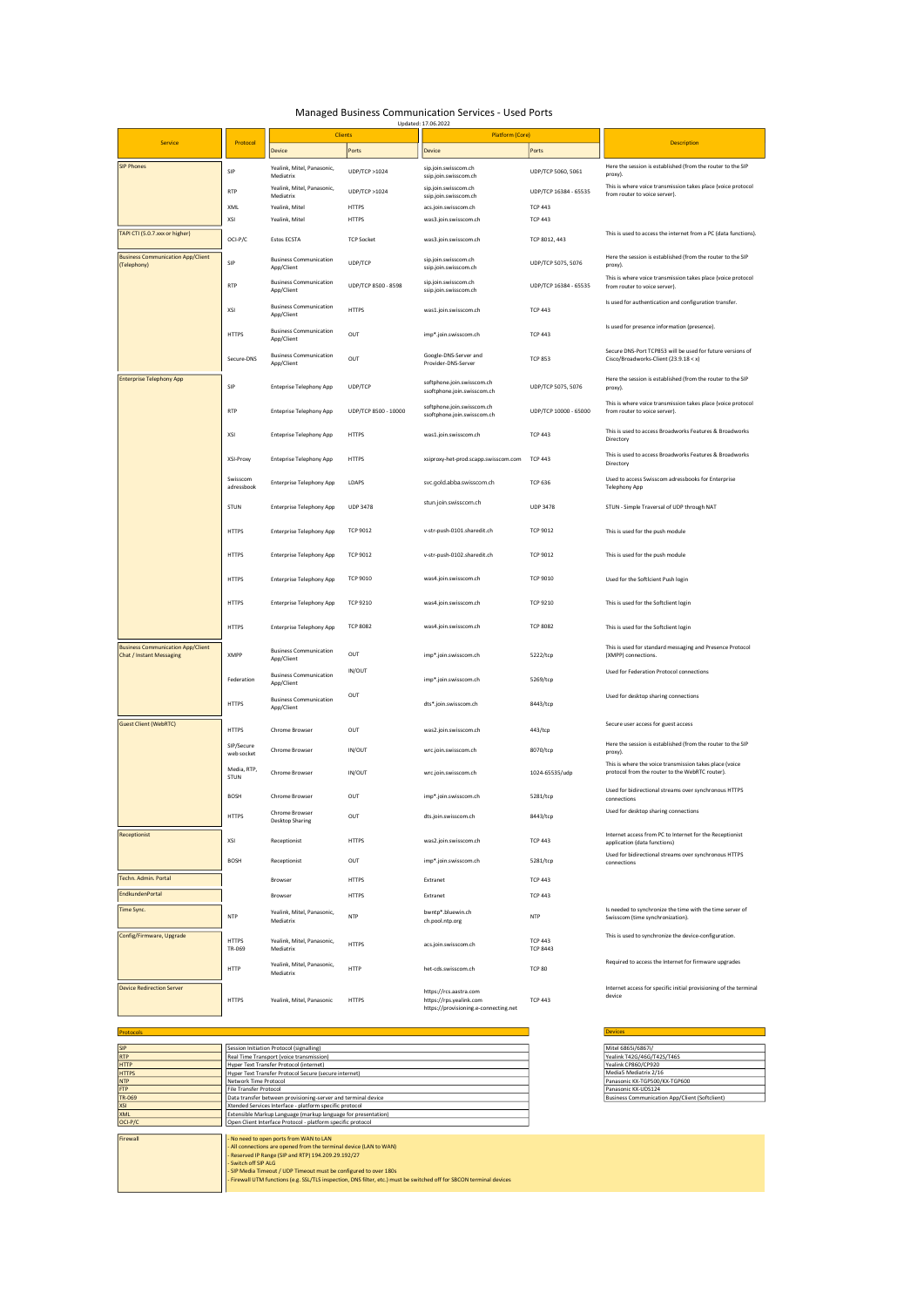## Managed Business Communication Services - Used Ports

|                                                                      |                          |                                             |                      | Updated: 17.06.2022                                                                        |                                   |                                                                                                                                                   |
|----------------------------------------------------------------------|--------------------------|---------------------------------------------|----------------------|--------------------------------------------------------------------------------------------|-----------------------------------|---------------------------------------------------------------------------------------------------------------------------------------------------|
| Service                                                              | Protocol                 |                                             | <b>Clients</b>       | <b>Platform (Core)</b>                                                                     |                                   |                                                                                                                                                   |
|                                                                      |                          | Device                                      | Ports                | Device                                                                                     | Ports                             | <b>Description</b>                                                                                                                                |
| <b>SIP Phones</b>                                                    | SIP                      | Yealink, Mitel, Panasonic,<br>Mediatrix     | UDP/TCP >1024        | sip.join.swisscom.ch<br>ssip.join.swisscom.ch                                              | UDP/TCP 5060, 5061                | Here the session is established (from the router to the SIP<br>proxy).                                                                            |
|                                                                      | <b>RTP</b>               | Yealink, Mitel, Panasonic,<br>Mediatrix     | UDP/TCP >1024        | sip.join.swisscom.ch<br>ssip.join.swisscom.ch                                              | UDP/TCP 16384 - 65535             | This is where voice transmission takes place (voice protocol<br>from router to voice server).                                                     |
|                                                                      | XML                      | Yealink, Mitel                              | <b>HTTPS</b>         | acs.join.swisscom.ch                                                                       | <b>TCP 443</b>                    |                                                                                                                                                   |
|                                                                      | XSI                      | Yealink, Mitel                              | <b>HTTPS</b>         | was3.join.swisscom.ch                                                                      | <b>TCP 443</b>                    |                                                                                                                                                   |
| TAPI CTI (5.0.7.xxx or higher)                                       | OCI-P/C                  | Estos ECSTA                                 | <b>TCP Socket</b>    | was3.join.swisscom.ch                                                                      | TCP 8012, 443                     | This is used to access the internet from a PC (data functions).                                                                                   |
| <b>Business Communication App/Client</b><br>(Telephony)              | SIP                      | <b>Business Communication</b><br>App/Client | UDP/TCP              | sip.join.swisscom.ch<br>ssip.join.swisscom.ch                                              | UDP/TCP 5075, 5076                | Here the session is established (from the router to the SIP<br>proxy).                                                                            |
|                                                                      | <b>RTP</b>               | <b>Business Communication</b><br>App/Client | UDP/TCP 8500 - 8598  | sip.join.swisscom.ch<br>ssip.join.swisscom.ch                                              | UDP/TCP 16384 - 65535             | This is where voice transmission takes place (voice protocol<br>from router to voice server).                                                     |
|                                                                      | XSI                      | <b>Business Communication</b><br>App/Client | <b>HTTPS</b>         | was1.join.swisscom.ch                                                                      | <b>TCP 443</b>                    | Is used for authentication and configuration transfer.                                                                                            |
|                                                                      | <b>HTTPS</b>             | <b>Business Communication</b><br>App/Client | OUT                  | imp*.join.swisscom.ch                                                                      | <b>TCP 443</b>                    | Is used for presence information (presence).                                                                                                      |
|                                                                      | Secure-DNS               | <b>Business Communication</b><br>App/Client | OUT                  | Google-DNS-Server and<br>Provider-DNS-Server                                               | <b>TCP 853</b>                    | Secure DNS-Port TCP853 will be used for future versions of<br>Cisco/Broadworks-Client (23.9.18 < x)                                               |
| <b>Enterprise Telephony App</b>                                      | SIP                      | <b>Enteprise Telephony App</b>              | UDP/TCP              | softphone.join.swisscom.ch<br>ssoftphone.join.swisscom.ch                                  | UDP/TCP 5075, 5076                | Here the session is established (from the router to the SIP<br>proxy).                                                                            |
|                                                                      | <b>RTP</b>               | <b>Enteprise Telephony App</b>              | UDP/TCP 8500 - 10000 | softphone.join.swisscom.ch<br>ssoftphone.join.swisscom.ch                                  | UDP/TCP 10000 - 65000             | This is where voice transmission takes place (voice protocol<br>from router to voice server).                                                     |
|                                                                      | XSI                      | <b>Enteprise Telephony App</b>              | <b>HTTPS</b>         | was1.join.swisscom.ch                                                                      | <b>TCP 443</b>                    | This is used to access Broadworks Features & Broadworks<br>Directory                                                                              |
|                                                                      | XSI-Proxy                | <b>Enteprise Telephony App</b>              | <b>HTTPS</b>         | xsiproxy-het-prod.scapp.swisscom.com                                                       | <b>TCP 443</b>                    | This is used to access Broadworks Features & Broadworks<br>Directory                                                                              |
|                                                                      | Swisscom<br>adressbook   | <b>Enterprise Telephony App</b>             | LDAPS                | svc.gold.abba.swisscom.ch                                                                  | <b>TCP 636</b>                    | Used to access Swisscom adressbooks for Enterprise<br><b>Telephony App</b>                                                                        |
|                                                                      | STUN                     | <b>Enterprise Telephony App</b>             | <b>UDP 3478</b>      | stun.join.swisscom.ch                                                                      | <b>UDP 3478</b>                   | STUN - Simple Traversal of UDP through NAT                                                                                                        |
|                                                                      | <b>HTTPS</b>             | <b>Enterprise Telephony App</b>             | <b>TCP 9012</b>      | v-str-push-0101.sharedit.ch                                                                | <b>TCP 9012</b>                   | This is used for the push module                                                                                                                  |
|                                                                      | <b>HTTPS</b>             | <b>Enterprise Telephony App</b>             | <b>TCP 9012</b>      | v-str-push-0102.sharedit.ch                                                                | TCP 9012                          | This is used for the push module                                                                                                                  |
|                                                                      | <b>HTTPS</b>             | <b>Enterprise Telephony App</b>             | <b>TCP 9010</b>      | was4.join.swisscom.ch                                                                      | <b>TCP 9010</b>                   | Used for the SoftIcient Push login                                                                                                                |
|                                                                      | <b>HTTPS</b>             | <b>Enterprise Telephony App</b>             | <b>TCP 9210</b>      | was4.join.swisscom.ch                                                                      | <b>TCP 9210</b>                   | This is used for the Softclient login                                                                                                             |
|                                                                      | <b>HTTPS</b>             | <b>Enterprise Telephony App</b>             | <b>TCP 8082</b>      | was4.join.swisscom.ch                                                                      | <b>TCP 8082</b>                   | This is used for the Softclient login                                                                                                             |
| <b>Business Communication App/Client</b><br>Chat / Instant Messaging | <b>XMPP</b>              | <b>Business Communication</b><br>App/Client | OUT                  | imp*.join.swisscom.ch                                                                      | 5222/tcp                          | This is used for standard messaging and Presence Protocol<br>(XMPP) connections.                                                                  |
|                                                                      | Federation               | <b>Business Communication</b><br>App/Client | IN/OUT               | imp*.join.swisscom.ch                                                                      | 5269/tcp                          | Used for Federation Protocol connections                                                                                                          |
|                                                                      | <b>HTTPS</b>             | <b>Business Communication</b><br>App/Client | OUT                  | dts*.join.swisscom.ch                                                                      | 8443/tcp                          | Used for desktop sharing connections                                                                                                              |
| <b>Guest Client (WebRTC)</b>                                         | <b>HTTPS</b>             | Chrome Browser                              | OUT                  | was2.join.swisscom.ch                                                                      | 443/tcp                           | Secure user access for guest access                                                                                                               |
|                                                                      | SIP/Secure<br>web socket | Chrome Browser                              | IN/OUT               | wrc.join.swisscom.ch                                                                       | 8070/tcp                          | Here the session is established (from the router to the SIP<br>proxy).                                                                            |
|                                                                      | Media, RTP,<br>STUN      | Chrome Browser                              | IN/OUT               | wrc.join.swisscom.ch                                                                       | 1024-65535/udp                    | This is where the voice transmission takes place (voice<br>protocol from the router to the WebRTC router).                                        |
|                                                                      | <b>BOSH</b>              | Chrome Browser                              | OUT                  | imp*.join.swisscom.ch                                                                      | 5281/tcp                          | Used for bidirectional streams over synchronous HTTPS<br>connections                                                                              |
|                                                                      | <b>HTTPS</b>             | Chrome Browser<br><b>Desktop Sharing</b>    | OUT                  | dts.ioin.swisscom.ch                                                                       | 8443/tcp                          | Used for desktop sharing connections                                                                                                              |
| Receptionist                                                         | XSI                      | Receptionist                                | <b>HTTPS</b>         | was2.join.swisscom.ch                                                                      | <b>TCP 443</b>                    | Internet access from PC to Internet for the Receptionist<br>application (data functions)<br>Used for bidirectional streams over synchronous HTTPS |
|                                                                      | <b>BOSH</b>              | Receptionist                                | OUT                  | imp*.join.swisscom.ch                                                                      | 5281/tcp                          | connections                                                                                                                                       |
| Techn. Admin. Portal                                                 |                          | Browser                                     | <b>HTTPS</b>         | Extranet                                                                                   | <b>TCP 443</b>                    |                                                                                                                                                   |
| <b>EndkundenPortal</b>                                               |                          | Browser                                     | <b>HTTPS</b>         | Extranet                                                                                   | <b>TCP 443</b>                    |                                                                                                                                                   |
| Time Sync.                                                           | <b>NTP</b>               | Yealink, Mitel, Panasonic,<br>Mediatrix     | <b>NTP</b>           | bwntp*.bluewin.ch<br>ch.pool.ntp.org                                                       | <b>NTP</b>                        | Is needed to synchronize the time with the time server of<br>Swisscom (time synchronization).                                                     |
| Config/Firmware, Upgrade                                             | <b>HTTPS</b><br>TR-069   | Yealink, Mitel, Panasonic,<br>Mediatrix     | <b>HTTPS</b>         | acs.join.swisscom.ch                                                                       | <b>TCP 443</b><br><b>TCP 8443</b> | This is used to synchronize the device-configuration.                                                                                             |
|                                                                      | <b>HTTP</b>              | Yealink, Mitel, Panasonic,<br>Mediatrix     | <b>HTTP</b>          | het-cds.swisscom.ch                                                                        | <b>TCP 80</b>                     | Required to access the Internet for firmware upgrades                                                                                             |
| <b>Device Redirection Server</b>                                     | <b>HTTPS</b>             | Yealink, Mitel, Panasonic                   | <b>HTTPS</b>         | https://rcs.aastra.com<br>https://rps.yealink.com<br>https://provisioning.e-connecting.net | <b>TCP 443</b>                    | Internet access for specific initial provisioning of the terminal<br>device                                                                       |

| <b>SIP</b>   | Session Initiation Protocol (signalling)                      | Mitel 6865i/6867i/                             |
|--------------|---------------------------------------------------------------|------------------------------------------------|
| <b>RTP</b>   | Real Time Transport (voice transmission)                      | Yealink T42G/46G/T42S/T46S                     |
| <b>HTTP</b>  | Hyper Text Transfer Protocol (internet)                       | Yealink CP860/CP920                            |
| <b>HTTPS</b> | Hyper Text Transfer Protocol Secure (secure internet)         | Media5 Mediatrix 2/16                          |
| <b>NTP</b>   | Network Time Protocol                                         | Panasonic KX-TGP500/KX-TGP600                  |
| <b>FTP</b>   | File Transfer Protocol                                        | Panasonic KX-UDS124                            |
| TR-069       | Data transfer between provisioning-server and terminal device | Business Communication App/Client (Softclient) |
| XSI          | Xtended Services Interface - platform specific protocol       |                                                |
| <b>INAX</b>  | Extensible Markun Language (markun language for presentation) |                                                |

Devices

| Hyper Text Transfer Protocol (internet)                                                                              | Yealink CP860/CP920                            |
|----------------------------------------------------------------------------------------------------------------------|------------------------------------------------|
| Hyper Text Transfer Protocol Secure (secure internet)                                                                | Media5 Mediatrix 2/16                          |
| Network Time Protocol                                                                                                | Panasonic KX-TGP500/KX-TGP600                  |
| File Transfer Protocol                                                                                               | Panasonic KX-UDS124                            |
| Data transfer between provisioning-server and terminal device                                                        | Business Communication App/Client (Softclient) |
| Xtended Services Interface - platform specific protocol                                                              |                                                |
| Extensible Markup Language (markup language for presentation)                                                        |                                                |
| Open Client Interface Protocol - platform specific protocol                                                          |                                                |
|                                                                                                                      |                                                |
| - No need to open ports from WAN to LAN                                                                              |                                                |
| - All connections are opened from the terminal device (LAN to WAN)                                                   |                                                |
| - Reserved IP Range (SIP and RTP) 194,209,29,192/27                                                                  |                                                |
| - Switch off SIP ALG                                                                                                 |                                                |
| - SIP Media Timeout / UDP Timeout must be configured to over 180s                                                    |                                                |
| - Firewall UTM functions (e.g. SSL/TLS inspection, DNS filter, etc.) must be switched off for SBCON terminal devices |                                                |
|                                                                                                                      |                                                |

Protocols